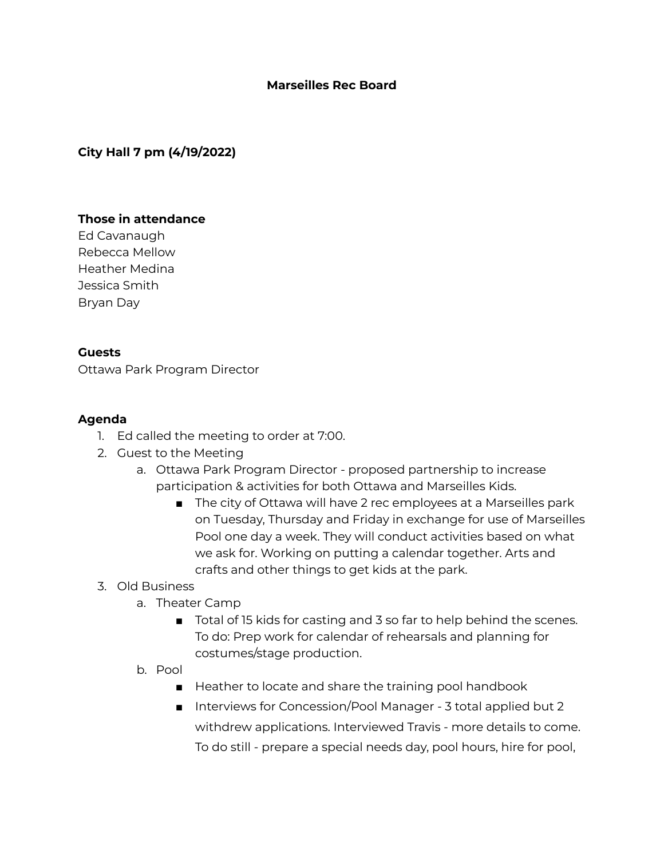#### **Marseilles Rec Board**

# **City Hall 7 pm (4/19/2022)**

## **Those in attendance**

Ed Cavanaugh Rebecca Mellow Heather Medina Jessica Smith Bryan Day

#### **Guests**

Ottawa Park Program Director

## **Agenda**

- 1. Ed called the meeting to order at 7:00.
- 2. Guest to the Meeting
	- a. Ottawa Park Program Director proposed partnership to increase participation & activities for both Ottawa and Marseilles Kids.
		- The city of Ottawa will have 2 rec employees at a Marseilles park on Tuesday, Thursday and Friday in exchange for use of Marseilles Pool one day a week. They will conduct activities based on what we ask for. Working on putting a calendar together. Arts and crafts and other things to get kids at the park.

## 3. Old Business

- a. Theater Camp
	- Total of 15 kids for casting and 3 so far to help behind the scenes. To do: Prep work for calendar of rehearsals and planning for costumes/stage production.
- b. Pool
	- Heather to locate and share the training pool handbook
	- Interviews for Concession/Pool Manager 3 total applied but 2 withdrew applications. Interviewed Travis - more details to come. To do still - prepare a special needs day, pool hours, hire for pool,